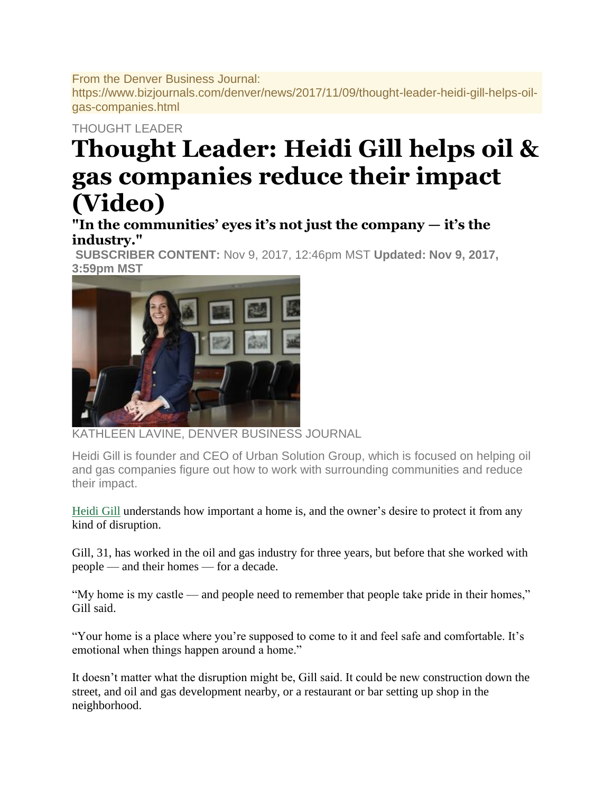From the Denver Business Journal: https://www.bizjournals.com/denver/news/2017/11/09/thought-leader-heidi-gill-helps-oilgas-companies.html

## THOUGHT LEADER

## **Thought Leader: Heidi Gill helps oil & gas companies reduce their impact (Video)**

**"In the communities' eyes it's not just the company — it's the industry."**

**SUBSCRIBER CONTENT:** Nov 9, 2017, 12:46pm MST **Updated: Nov 9, 2017, 3:59pm MST**



**EEN LAVINE, DENVER BUSINESS JOURNAL** 

Heidi Gill is founder and CEO of Urban Solution Group, which is focused on helping oil and gas companies figure out how to work with surrounding communities and reduce their impact.

[Heidi Gill](https://www.bizjournals.com/denver/search/results?q=Heidi%20Gill) understands how important a home is, and the owner's desire to protect it from any kind of disruption.

Gill, 31, has worked in the oil and gas industry for three years, but before that she worked with people — and their homes — for a decade.

"My home is my castle — and people need to remember that people take pride in their homes," Gill said.

"Your home is a place where you're supposed to come to it and feel safe and comfortable. It's emotional when things happen around a home."

It doesn't matter what the disruption might be, Gill said. It could be new construction down the street, and oil and gas development nearby, or a restaurant or bar setting up shop in the neighborhood.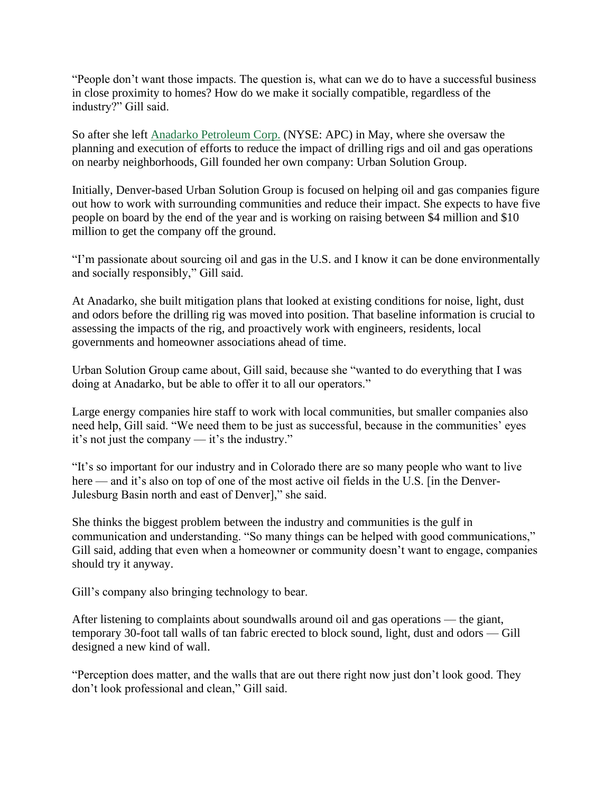"People don't want those impacts. The question is, what can we do to have a successful business in close proximity to homes? How do we make it socially compatible, regardless of the industry?" Gill said.

So after she left [Anadarko Petroleum Corp.](http://companies.bizjournals.com/profile/anadarko/129294/) (NYSE: APC) in May, where she oversaw the planning and execution of efforts to reduce the impact of drilling rigs and oil and gas operations on nearby neighborhoods, Gill founded her own company: Urban Solution Group.

Initially, Denver-based Urban Solution Group is focused on helping oil and gas companies figure out how to work with surrounding communities and reduce their impact. She expects to have five people on board by the end of the year and is working on raising between \$4 million and \$10 million to get the company off the ground.

"I'm passionate about sourcing oil and gas in the U.S. and I know it can be done environmentally and socially responsibly," Gill said.

At Anadarko, she built mitigation plans that looked at existing conditions for noise, light, dust and odors before the drilling rig was moved into position. That baseline information is crucial to assessing the impacts of the rig, and proactively work with engineers, residents, local governments and homeowner associations ahead of time.

Urban Solution Group came about, Gill said, because she "wanted to do everything that I was doing at Anadarko, but be able to offer it to all our operators."

Large energy companies hire staff to work with local communities, but smaller companies also need help, Gill said. "We need them to be just as successful, because in the communities' eyes it's not just the company — it's the industry."

"It's so important for our industry and in Colorado there are so many people who want to live here — and it's also on top of one of the most active oil fields in the U.S. [in the Denver-Julesburg Basin north and east of Denver]," she said.

She thinks the biggest problem between the industry and communities is the gulf in communication and understanding. "So many things can be helped with good communications," Gill said, adding that even when a homeowner or community doesn't want to engage, companies should try it anyway.

Gill's company also bringing technology to bear.

After listening to complaints about soundwalls around oil and gas operations — the giant, temporary 30-foot tall walls of tan fabric erected to block sound, light, dust and odors — Gill designed a new kind of wall.

"Perception does matter, and the walls that are out there right now just don't look good. They don't look professional and clean," Gill said.